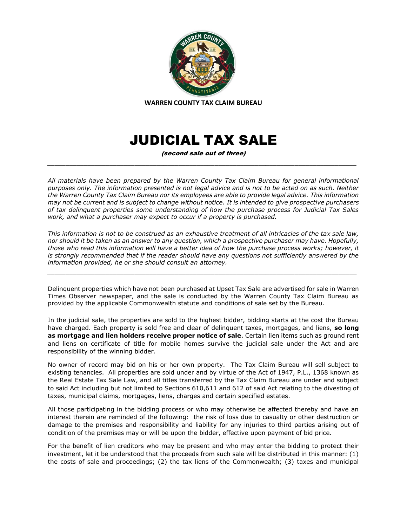

# JUDICIAL TAX SALE

(second sale out of three) *\_\_\_\_\_\_\_\_\_\_\_\_\_\_\_\_\_\_\_\_\_\_\_\_\_\_\_\_\_\_\_\_\_\_\_\_\_\_\_\_\_\_\_\_\_\_\_\_\_\_\_\_\_\_\_\_\_\_\_\_\_\_\_\_\_\_\_\_\_\_\_\_\_\_\_\_\_\_\_\_\_\_\_\_\_*

*All materials have been prepared by the Warren County Tax Claim Bureau for general informational purposes only. The information presented is not legal advice and is not to be acted on as such. Neither the Warren County Tax Claim Bureau nor its employees are able to provide legal advice. This information may not be current and is subject to change without notice. It is intended to give prospective purchasers of tax delinquent properties some understanding of how the purchase process for Judicial Tax Sales work, and what a purchaser may expect to occur if a property is purchased.*

*This information is not to be construed as an exhaustive treatment of all intricacies of the tax sale law, nor should it be taken as an answer to any question, which a prospective purchaser may have. Hopefully, those who read this information will have a better idea of how the purchase process works; however, it is strongly recommended that if the reader should have any questions not sufficiently answered by the information provided, he or she should consult an attorney.*

*\_\_\_\_\_\_\_\_\_\_\_\_\_\_\_\_\_\_\_\_\_\_\_\_\_\_\_\_\_\_\_\_\_\_\_\_\_\_\_\_\_\_\_\_\_\_\_\_\_\_\_\_\_\_\_\_\_\_\_\_\_\_\_\_\_\_\_\_\_\_\_\_\_\_\_\_\_\_\_\_\_\_\_\_\_*

Delinquent properties which have not been purchased at Upset Tax Sale are advertised for sale in Warren Times Observer newspaper, and the sale is conducted by the Warren County Tax Claim Bureau as provided by the applicable Commonwealth statute and conditions of sale set by the Bureau.

In the judicial sale, the properties are sold to the highest bidder, bidding starts at the cost the Bureau have charged. Each property is sold free and clear of delinquent taxes, mortgages, and liens, **so long as mortgage and lien holders receive proper notice of sale**. Certain lien items such as ground rent and liens on certificate of title for mobile homes survive the judicial sale under the Act and are responsibility of the winning bidder.

No owner of record may bid on his or her own property. The Tax Claim Bureau will sell subject to existing tenancies. All properties are sold under and by virtue of the Act of 1947, P.L., 1368 known as the Real Estate Tax Sale Law, and all titles transferred by the Tax Claim Bureau are under and subject to said Act including but not limited to Sections 610,611 and 612 of said Act relating to the divesting of taxes, municipal claims, mortgages, liens, charges and certain specified estates.

All those participating in the bidding process or who may otherwise be affected thereby and have an interest therein are reminded of the following: the risk of loss due to casualty or other destruction or damage to the premises and responsibility and liability for any injuries to third parties arising out of condition of the premises may or will be upon the bidder, effective upon payment of bid price.

For the benefit of lien creditors who may be present and who may enter the bidding to protect their investment, let it be understood that the proceeds from such sale will be distributed in this manner: (1) the costs of sale and proceedings; (2) the tax liens of the Commonwealth; (3) taxes and municipal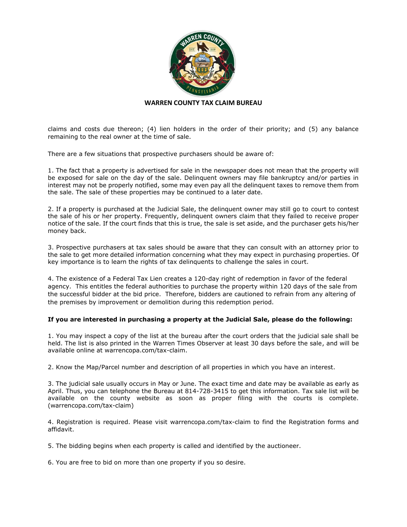

claims and costs due thereon; (4) lien holders in the order of their priority; and (5) any balance remaining to the real owner at the time of sale.

There are a few situations that prospective purchasers should be aware of:

1. The fact that a property is advertised for sale in the newspaper does not mean that the property will be exposed for sale on the day of the sale. Delinquent owners may file bankruptcy and/or parties in interest may not be properly notified, some may even pay all the delinquent taxes to remove them from the sale. The sale of these properties may be continued to a later date.

2. If a property is purchased at the Judicial Sale, the delinquent owner may still go to court to contest the sale of his or her property. Frequently, delinquent owners claim that they failed to receive proper notice of the sale. If the court finds that this is true, the sale is set aside, and the purchaser gets his/her money back.

3. Prospective purchasers at tax sales should be aware that they can consult with an attorney prior to the sale to get more detailed information concerning what they may expect in purchasing properties. Of key importance is to learn the rights of tax delinquents to challenge the sales in court.

4. The existence of a Federal Tax Lien creates a 120-day right of redemption in favor of the federal agency. This entitles the federal authorities to purchase the property within 120 days of the sale from the successful bidder at the bid price. Therefore, bidders are cautioned to refrain from any altering of the premises by improvement or demolition during this redemption period.

## **If you are interested in purchasing a property at the Judicial Sale, please do the following:**

1. You may inspect a copy of the list at the bureau after the court orders that the judicial sale shall be held. The list is also printed in the Warren Times Observer at least 30 days before the sale, and will be available online at warrencopa.com/tax-claim.

2. Know the Map/Parcel number and description of all properties in which you have an interest.

3. The judicial sale usually occurs in May or June. The exact time and date may be available as early as April. Thus, you can telephone the Bureau at 814-728-3415 to get this information. Tax sale list will be available on the county website as soon as proper filing with the courts is complete. (warrencopa.com/tax-claim)

4. Registration is required. Please visit warrencopa.com/tax-claim to find the Registration forms and affidavit.

5. The bidding begins when each property is called and identified by the auctioneer.

6. You are free to bid on more than one property if you so desire.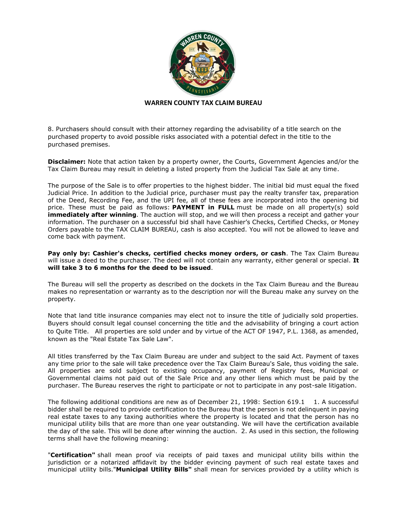

8. Purchasers should consult with their attorney regarding the advisability of a title search on the purchased property to avoid possible risks associated with a potential defect in the title to the purchased premises.

**Disclaimer:** Note that action taken by a property owner, the Courts, Government Agencies and/or the Tax Claim Bureau may result in deleting a listed property from the Judicial Tax Sale at any time.

The purpose of the Sale is to offer properties to the highest bidder. The initial bid must equal the fixed Judicial Price. In addition to the Judicial price, purchaser must pay the realty transfer tax, preparation of the Deed, Recording Fee, and the UPI fee, all of these fees are incorporated into the opening bid price. These must be paid as follows: **PAYMENT in FULL** must be made on all property(s) sold **immediately after winning**. The auction will stop, and we will then process a receipt and gather your information. The purchaser on a successful bid shall have Cashier's Checks, Certified Checks, or Money Orders payable to the TAX CLAIM BUREAU, cash is also accepted. You will not be allowed to leave and come back with payment.

**Pay only by: Cashier's checks, certified checks money orders, or cash**. The Tax Claim Bureau will issue a deed to the purchaser. The deed will not contain any warranty, either general or special. **It will take 3 to 6 months for the deed to be issued**.

The Bureau will sell the property as described on the dockets in the Tax Claim Bureau and the Bureau makes no representation or warranty as to the description nor will the Bureau make any survey on the property.

Note that land title insurance companies may elect not to insure the title of judicially sold properties. Buyers should consult legal counsel concerning the title and the advisability of bringing a court action to Quite Title. All properties are sold under and by virtue of the ACT OF 1947, P.L. 1368, as amended, known as the "Real Estate Tax Sale Law".

All titles transferred by the Tax Claim Bureau are under and subject to the said Act. Payment of taxes any time prior to the sale will take precedence over the Tax Claim Bureau's Sale, thus voiding the sale. All properties are sold subject to existing occupancy, payment of Registry fees, Municipal or Governmental claims not paid out of the Sale Price and any other liens which must be paid by the purchaser. The Bureau reserves the right to participate or not to participate in any post-sale litigation.

The following additional conditions are new as of December 21, 1998: Section 619.1 1. A successful bidder shall be required to provide certification to the Bureau that the person is not delinquent in paying real estate taxes to any taxing authorities where the property is located and that the person has no municipal utility bills that are more than one year outstanding. We will have the certification available the day of the sale. This will be done after winning the auction. 2. As used in this section, the following terms shall have the following meaning:

"**Certification"** shall mean proof via receipts of paid taxes and municipal utility bills within the jurisdiction or a notarized affidavit by the bidder evincing payment of such real estate taxes and municipal utility bills."**Municipal Utility Bills"** shall mean for services provided by a utility which is